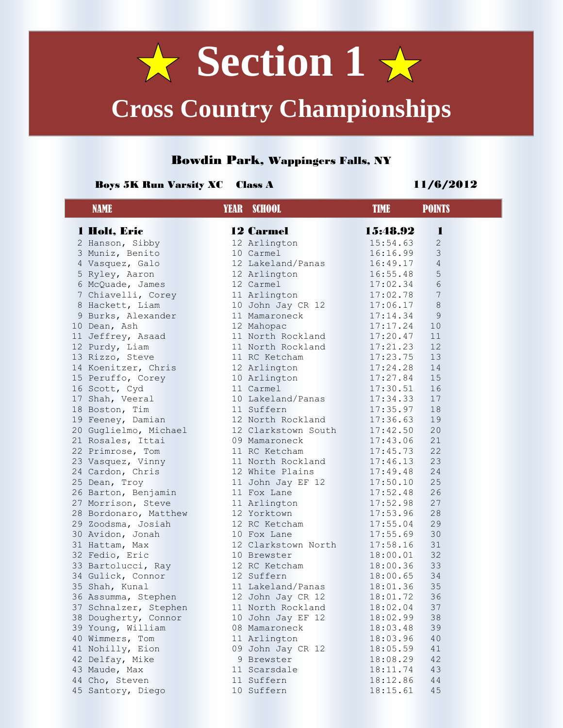

# **Cross Country Championships**

### Bowdin Park, Wappingers Falls, NY

### Boys 5K Run Varsity XC Class A 11/6/2012

| <b>NAME</b>                          | <b>YEAR</b> SCHOOL                 | <b>TIME</b><br><b>POINTS</b> |  |
|--------------------------------------|------------------------------------|------------------------------|--|
| 1 Holt, Eric                         | <b>12 Carmel</b>                   | 15:48.92<br>1                |  |
| 2 Hanson, Sibby                      | 12 Arlington                       | $\mathbf{2}$<br>15:54.63     |  |
| 3 Muniz, Benito                      | 10 Carmel                          | 3<br>16:16.99                |  |
| 4 Vasquez, Galo                      | 12 Lakeland/Panas                  | $\overline{4}$<br>16:49.17   |  |
| 5 Ryley, Aaron                       | 12 Arlington                       | $\mathsf S$<br>16:55.48      |  |
| 6 McQuade, James                     | 12 Carmel                          | 17:02.34<br>$6\phantom{.}6$  |  |
| 7 Chiavelli, Corey                   | 11 Arlington                       | $7\phantom{.0}$<br>17:02.78  |  |
| 8 Hackett, Liam                      | 10 John Jay CR 12                  | 17:06.17<br>8                |  |
| 9 Burks, Alexander                   | 11 Mamaroneck                      | 9<br>17:14.34                |  |
| 10 Dean, Ash                         | 12 Mahopac                         | 17:17.24<br>10               |  |
| 11 Jeffrey, Asaad                    | 11 North Rockland                  | 17:20.47<br>11               |  |
| 12 Purdy, Liam                       | 11 North Rockland                  | 12<br>17:21.23               |  |
| 13 Rizzo, Steve                      | 11 RC Ketcham                      | 17:23.75<br>13               |  |
| 14 Koenitzer, Chris                  | 12 Arlington                       | 17:24.28<br>14               |  |
| 15 Peruffo, Corey                    | 10 Arlington                       | 17:27.84<br>15               |  |
| 16 Scott, Cyd                        | 11 Carmel                          | 17:30.51<br>16               |  |
| 17 Shah, Veeral                      | 10 Lakeland/Panas                  | 17<br>17:34.33               |  |
| 18 Boston, Tim                       | 11 Suffern                         | 18<br>17:35.97               |  |
| 19 Feeney, Damian                    | 12 North Rockland                  | 17:36.63<br>19               |  |
| 20 Guglielmo, Michael                | 12 Clarkstown South                | 20<br>17:42.50               |  |
| 21 Rosales, Ittai                    | 09 Mamaroneck                      | 21<br>17:43.06               |  |
| 22 Primrose, Tom                     | 11 RC Ketcham                      | 22<br>17:45.73               |  |
| 23 Vasquez, Vinny                    | 11 North Rockland                  | 17:46.13<br>23               |  |
| 24 Cardon, Chris                     | 12 White Plains                    | 24<br>17:49.48               |  |
| 25 Dean, Troy                        | 11 John Jay EF 12                  | 17:50.10<br>25               |  |
| 26 Barton, Benjamin                  | 11 Fox Lane                        | 26<br>17:52.48               |  |
| 27 Morrison, Steve                   | 11 Arlington                       | 27<br>17:52.98               |  |
| 28 Bordonaro, Matthew                | 12 Yorktown                        | 28<br>17:53.96               |  |
| 29 Zoodsma, Josiah                   | 12 RC Ketcham                      | 29<br>17:55.04               |  |
| 30 Avidon, Jonah                     | 10 Fox Lane                        | 30<br>17:55.69<br>31         |  |
| 31 Hattam, Max                       | 12 Clarkstown North<br>10 Brewster | 17:58.16<br>32<br>18:00.01   |  |
| 32 Fedio, Eric<br>33 Bartolucci, Ray | 12 RC Ketcham                      | 18:00.36<br>33               |  |
| 34 Gulick, Connor                    | 12 Suffern                         | 18:00.65<br>34               |  |
| 35 Shah, Kunal                       | 11 Lakeland/Panas                  | 35<br>18:01.36               |  |
| 36 Assumma, Stephen                  | 12 John Jay CR 12                  | 36<br>18:01.72               |  |
| 37 Schnalzer, Stephen                | 11 North Rockland                  | 18:02.04<br>37               |  |
| 38 Dougherty, Connor                 | 10 John Jay EF 12                  | 18:02.99<br>38               |  |
| 39 Young, William                    | 08 Mamaroneck                      | 39<br>18:03.48               |  |
| 40 Wimmers, Tom                      | 11 Arlington                       | 40<br>18:03.96               |  |
| 41 Nohilly, Eion                     | 09 John Jay CR 12                  | 18:05.59<br>41               |  |
| 42 Delfay, Mike                      | 9 Brewster                         | 18:08.29<br>42               |  |
| 43 Maude, Max                        | 11 Scarsdale                       | 18:11.74<br>43               |  |
| 44 Cho, Steven                       | 11 Suffern                         | 18:12.86<br>44               |  |
| 45 Santory, Diego                    | 10 Suffern                         | 18:15.61<br>45               |  |
|                                      |                                    |                              |  |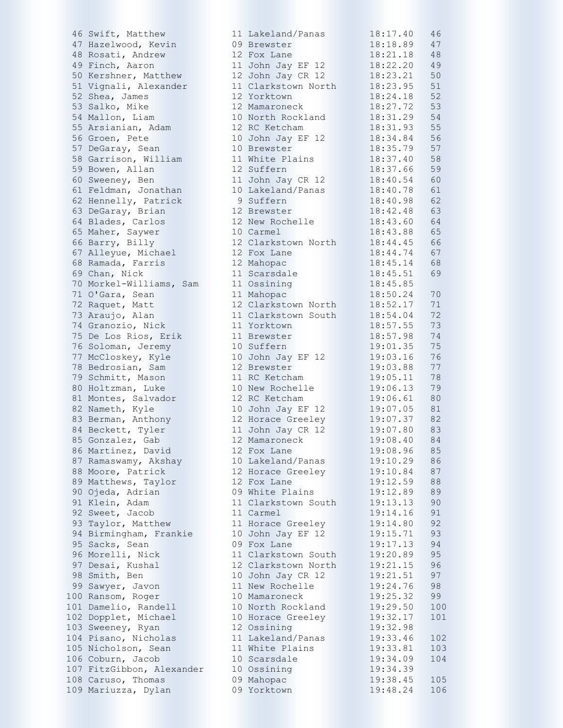| 46 Swift, Matthew         | 11 Lakeland/Panas   | 18:17.40 | 46  |
|---------------------------|---------------------|----------|-----|
| 47 Hazelwood, Kevin       | 09 Brewster         | 18:18.89 | 47  |
| 48 Rosati, Andrew         | 12 Fox Lane         | 18:21.18 | 48  |
| 49 Finch, Aaron           |                     | 18:22.20 | 49  |
|                           | 11 John Jay EF 12   |          |     |
| 50 Kershner, Matthew      | 12 John Jay CR 12   | 18:23.21 | 50  |
| 51 Vignali, Alexander     | 11 Clarkstown North | 18:23.95 | 51  |
| 52 Shea, James            | 12 Yorktown         | 18:24.18 | 52  |
| 53 Salko, Mike            | 12 Mamaroneck       | 18:27.72 | 53  |
| 54 Mallon, Liam           | 10 North Rockland   | 18:31.29 | 54  |
| 55 Arsianian, Adam        | 12 RC Ketcham       | 18:31.93 | 55  |
| 56 Groen, Pete            | 10 John Jay EF 12   | 18:34.84 | 56  |
| 57 DeGaray, Sean          | 10 Brewster         | 18:35.79 | 57  |
|                           |                     |          | 58  |
| 58 Garrison, William      | 11 White Plains     | 18:37.40 |     |
| 59 Bowen, Allan           | 12 Suffern          | 18:37.66 | 59  |
| 60 Sweeney, Ben           | 11 John Jay CR 12   | 18:40.54 | 60  |
| 61 Feldman, Jonathan      | 10 Lakeland/Panas   | 18:40.78 | 61  |
| 62 Hennelly, Patrick      | 9 Suffern           | 18:40.98 | 62  |
| 63 DeGaray, Brian         | 12 Brewster         | 18:42.48 | 63  |
| 64 Blades, Carlos         | 12 New Rochelle     | 18:43.60 | 64  |
| 65 Maher, Saywer          | 10 Carmel           | 18:43.88 | 65  |
| 66 Barry, Billy           | 12 Clarkstown North | 18:44.45 | 66  |
| 67 Alleyue, Michael       | 12 Fox Lane         | 18:44.74 | 67  |
| 68 Ramada, Farris         | 12 Mahopac          | 18:45.14 | 68  |
|                           |                     |          |     |
| 69 Chan, Nick             | 11 Scarsdale        | 18:45.51 | 69  |
| 70 Morkel-Williams, Sam   | 11 Ossining         | 18:45.85 |     |
| 71 O'Gara, Sean           | 11 Mahopac          | 18:50.24 | 70  |
| 72 Raquet, Matt           | 12 Clarkstown North | 18:52.17 | 71  |
| 73 Araujo, Alan           | 11 Clarkstown South | 18:54.04 | 72  |
| 74 Granozio, Nick         | 11 Yorktown         | 18:57.55 | 73  |
| 75 De Los Rios, Erik      | 11 Brewster         | 18:57.98 | 74  |
| 76 Soloman, Jeremy        | 10 Suffern          | 19:01.35 | 75  |
| 77 McCloskey, Kyle        | 10 John Jay EF 12   | 19:03.16 | 76  |
| 78 Bedrosian, Sam         | 12 Brewster         | 19:03.88 | 77  |
|                           |                     |          |     |
| 79 Schmitt, Mason         | 11 RC Ketcham       | 19:05.11 | 78  |
| 80 Holtzman, Luke         | 10 New Rochelle     | 19:06.13 | 79  |
| 81 Montes, Salvador       | 12 RC Ketcham       | 19:06.61 | 80  |
| 82 Nameth, Kyle           | 10 John Jay EF 12   | 19:07.05 | 81  |
| 83 Berman, Anthony        | 12 Horace Greeley   | 19:07.37 | 82  |
| 84 Beckett, Tyler         | 11 John Jay CR 12   | 19:07.80 | 83  |
| 85 Gonzalez, Gab          | 12 Mamaroneck       | 19:08.40 | 84  |
| 86 Martinez, David        | 12 Fox Lane         | 19:08.96 | 85  |
| 87 Ramaswamy, Akshay      | 10 Lakeland/Panas   | 19:10.29 | 86  |
| 88 Moore, Patrick         | 12 Horace Greeley   | 19:10.84 | 87  |
| 89 Matthews, Taylor       | 12 Fox Lane         | 19:12.59 | 88  |
|                           |                     |          | 89  |
| 90 Ojeda, Adrian          | 09 White Plains     | 19:12.89 |     |
| 91 Klein, Adam            | 11 Clarkstown South | 19:13.13 | 90  |
| 92 Sweet, Jacob           | 11 Carmel           | 19:14.16 | 91  |
| 93 Taylor, Matthew        | 11 Horace Greeley   | 19:14.80 | 92  |
| 94 Birmingham, Frankie    | 10 John Jay EF 12   | 19:15.71 | 93  |
| 95 Sacks, Sean            | 09 Fox Lane         | 19:17.13 | 94  |
| 96 Morelli, Nick          | 11 Clarkstown South | 19:20.89 | 95  |
| 97 Desai, Kushal          | 12 Clarkstown North | 19:21.15 | 96  |
| 98 Smith, Ben             | 10 John Jay CR 12   | 19:21.51 | 97  |
| 99 Sawyer, Javon          | 11 New Rochelle     | 19:24.76 | 98  |
|                           | 10 Mamaroneck       |          | 99  |
| 100 Ransom, Roger         |                     | 19:25.32 |     |
| 101 Damelio, Randell      | 10 North Rockland   | 19:29.50 | 100 |
| 102 Dopplet, Michael      | 10 Horace Greeley   | 19:32.17 | 101 |
| 103 Sweeney, Ryan         | 12 Ossining         | 19:32.98 |     |
| 104 Pisano, Nicholas      | 11 Lakeland/Panas   | 19:33.46 | 102 |
| 105 Nicholson, Sean       | 11 White Plains     | 19:33.81 | 103 |
| 106 Coburn, Jacob         | 10 Scarsdale        | 19:34.09 | 104 |
| 107 FitzGibbon, Alexander | 10 Ossining         | 19:34.39 |     |
| 108 Caruso, Thomas        | 09 Mahopac          | 19:38.45 | 105 |
| 109 Mariuzza, Dylan       | 09 Yorktown         | 19:48.24 | 106 |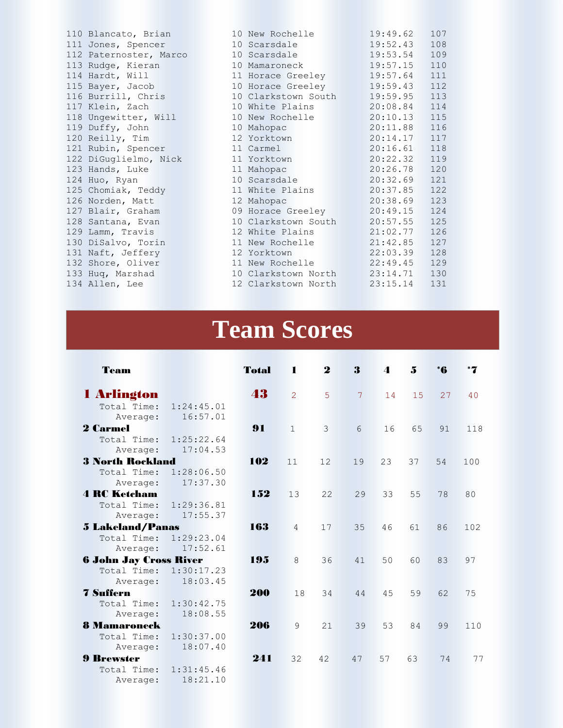110 Blancato, Brian 111 Jones, Spencer 112 Paternoster, Marco 113 Rudge, Kieran 114 Hardt, Will 115 Bayer, Jacob 116 Burrill, Chris 117 Klein, Zach 118 Ungewitter, Will 119 Duffy, John 120 Reilly, Tim 121 Rubin, Spencer 122 DiGuglielmo, Nick 123 Hands, Luke 124 Huo, Ryan 125 Chomiak, Teddy 126 Norden, Matt 127 Blair, Graham 128 Santana, Evan 129 Lamm, Travis 130 DiSalvo, Torin 131 Naft, Jeffery 132 Shore, Oliver 133 Huq, Marshad 134 Allen, Lee

| 10 New Rochelle     | 19:49.62     | 107 |
|---------------------|--------------|-----|
| 10 Scarsdale        | 19:52.43     | 108 |
| 10 Scarsdale        | 19:53.54     | 109 |
| 10 Mamaroneck       | 19:57.15     | 110 |
| 11 Horace Greeley   | 19:57.64     | 111 |
| 10 Horace Greeley   | 19:59.43     | 112 |
| 10 Clarkstown South | 19:59.95 113 |     |
| 10 White Plains     | 20:08.84     | 114 |
| 10 New Rochelle     | 20:10.13     | 115 |
| 10 Mahopac          | 20:11.88     | 116 |
| 12 Yorktown         | 20:14.17     | 117 |
| 11 Carmel           | 20:16.61     | 118 |
| 11 Yorktown         | 20:22.32     | 119 |
| 11 Mahopac          | 20:26.78     | 120 |
| 10 Scarsdale        | 20:32.69     | 121 |
| 11 White Plains     | 20:37.85     | 122 |
| 12 Mahopac          | 20:38.69     | 123 |
| 09 Horace Greeley   | 20:49.15     | 124 |
| 10 Clarkstown South | 20:57.55     | 125 |
| 12 White Plains     | 21:02.77     | 126 |
| 11 New Rochelle     | 21:42.85     | 127 |
| 12 Yorktown         | 22:03.39     | 128 |
| 11 New Rochelle     | 22:49.45 129 |     |
| 10 Clarkstown North | 23:14.71     | 130 |
| 12 Clarkstown North | 23:15.14     | 131 |

## **Team Scores**

| Team                                                     |                        | <b>Total</b> | $\blacksquare$ | $\mathbf 2$ | 3              | $\blacktriangle$ | 5  | *6 |     |
|----------------------------------------------------------|------------------------|--------------|----------------|-------------|----------------|------------------|----|----|-----|
| 1 Arlington<br>Total Time:<br>Average:                   | 1:24:45.01<br>16:57.01 | 43           | $\overline{2}$ | 5           | $\overline{7}$ | 14               | 15 | 27 | 40  |
| <b>2 Carmel</b><br>Total Time:<br>Average:               | 1:25:22.64<br>17:04.53 | 91           | $\mathbf{1}$   | 3           | 6              | 16               | 65 | 91 | 118 |
| <b>3 North Rockland</b><br>Total Time:<br>Average:       | 1:28:06.50<br>17:37.30 | 102          | 11             | 12          | 19             | 23               | 37 | 54 | 100 |
| <b>4 RC Ketcham</b><br>Total Time:<br>Average:           | 1:29:36.81<br>17:55.37 | 152          | 13             | 22          | 29             | 33               | 55 | 78 | 80  |
| <b>5 Lakeland/Panas</b><br>Total Time:<br>Average:       | 1:29:23.04<br>17:52.61 | 163          | $\overline{4}$ | 17          | 35             | 46               | 61 | 86 | 102 |
| <b>6 John Jay Cross River</b><br>Total Time:<br>Average: | 1:30:17.23<br>18:03.45 | 195          | 8              | 36          | 41             | 50               | 60 | 83 | 97  |
| <b>7 Suffern</b><br>Total Time:<br>Average:              | 1:30:42.75<br>18:08.55 | 200          | 18             | 34          | 44             | 45               | 59 | 62 | 75  |
| <b>8 Mamaroneck</b><br>Total Time:<br>Average:           | 1:30:37.00<br>18:07.40 | 206          | 9              | 21          | 39             | 53               | 84 | 99 | 110 |
| <b>9 Brewster</b><br>Total Time:<br>Average:             | 1:31:45.46<br>18:21.10 | 241          | 32             | 42          | 47             | 57               | 63 | 74 | 77  |